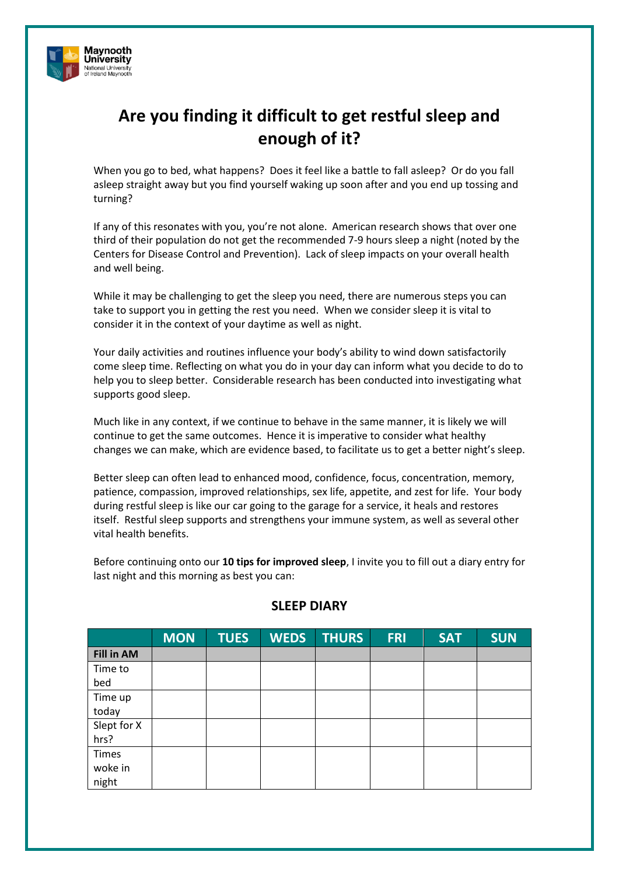

# **Are you finding it difficult to get restful sleep and enough of it?**

When you go to bed, what happens? Does it feel like a battle to fall asleep? Or do you fall asleep straight away but you find yourself waking up soon after and you end up tossing and turning?

If any of this resonates with you, you're not alone. American research shows that over one third of their population do not get the recommended 7-9 hours sleep a night (noted by the Centers for Disease Control and Prevention). Lack of sleep impacts on your overall health and well being.

While it may be challenging to get the sleep you need, there are numerous steps you can take to support you in getting the rest you need. When we consider sleep it is vital to consider it in the context of your daytime as well as night.

Your daily activities and routines influence your body's ability to wind down satisfactorily come sleep time. Reflecting on what you do in your day can inform what you decide to do to help you to sleep better. Considerable research has been conducted into investigating what supports good sleep.

Much like in any context, if we continue to behave in the same manner, it is likely we will continue to get the same outcomes. Hence it is imperative to consider what healthy changes we can make, which are evidence based, to facilitate us to get a better night's sleep.

Better sleep can often lead to enhanced mood, confidence, focus, concentration, memory, patience, compassion, improved relationships, sex life, appetite, and zest for life. Your body during restful sleep is like our car going to the garage for a service, it heals and restores itself. Restful sleep supports and strengthens your immune system, as well as several other vital health benefits.

Before continuing onto our **10 tips for improved sleep**, I invite you to fill out a diary entry for last night and this morning as best you can:

|                   | <b>MON</b> | <b>TUES</b> | <b>WEDS</b> | <b>THURS</b> | <b>FRI</b> | <b>SAT</b> | <b>SUN</b> |
|-------------------|------------|-------------|-------------|--------------|------------|------------|------------|
| <b>Fill in AM</b> |            |             |             |              |            |            |            |
| Time to           |            |             |             |              |            |            |            |
| bed               |            |             |             |              |            |            |            |
| Time up           |            |             |             |              |            |            |            |
| today             |            |             |             |              |            |            |            |
| Slept for X       |            |             |             |              |            |            |            |
| hrs?              |            |             |             |              |            |            |            |
| Times             |            |             |             |              |            |            |            |
| woke in           |            |             |             |              |            |            |            |
| night             |            |             |             |              |            |            |            |

#### **SLEEP DIARY**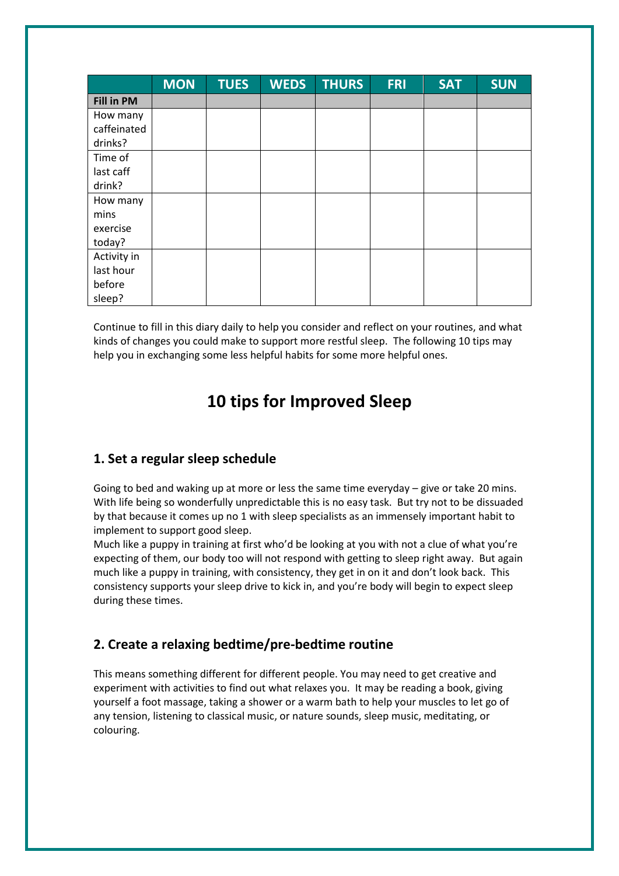|                   | <b>MON</b> | <b>TUES</b> | <b>WEDS</b> | <b>THURS</b> | <b>FRI</b> | <b>SAT</b> | <b>SUN</b> |
|-------------------|------------|-------------|-------------|--------------|------------|------------|------------|
| <b>Fill in PM</b> |            |             |             |              |            |            |            |
| How many          |            |             |             |              |            |            |            |
| caffeinated       |            |             |             |              |            |            |            |
| drinks?           |            |             |             |              |            |            |            |
| Time of           |            |             |             |              |            |            |            |
| last caff         |            |             |             |              |            |            |            |
| drink?            |            |             |             |              |            |            |            |
| How many          |            |             |             |              |            |            |            |
| mins              |            |             |             |              |            |            |            |
| exercise          |            |             |             |              |            |            |            |
| today?            |            |             |             |              |            |            |            |
| Activity in       |            |             |             |              |            |            |            |
| last hour         |            |             |             |              |            |            |            |
| before            |            |             |             |              |            |            |            |
| sleep?            |            |             |             |              |            |            |            |

Continue to fill in this diary daily to help you consider and reflect on your routines, and what kinds of changes you could make to support more restful sleep. The following 10 tips may help you in exchanging some less helpful habits for some more helpful ones.

# **10 tips for Improved Sleep**

### **1. Set a regular sleep schedule**

Going to bed and waking up at more or less the same time everyday – give or take 20 mins. With life being so wonderfully unpredictable this is no easy task. But try not to be dissuaded by that because it comes up no 1 with sleep specialists as an immensely important habit to implement to support good sleep.

Much like a puppy in training at first who'd be looking at you with not a clue of what you're expecting of them, our body too will not respond with getting to sleep right away. But again much like a puppy in training, with consistency, they get in on it and don't look back. This consistency supports your sleep drive to kick in, and you're body will begin to expect sleep during these times.

### **2. Create a relaxing bedtime/pre-bedtime routine**

This means something different for different people. You may need to get creative and experiment with activities to find out what relaxes you. It may be reading a book, giving yourself a foot massage, taking a shower or a warm bath to help your muscles to let go of any tension, listening to classical music, or nature sounds, sleep music, meditating, or colouring.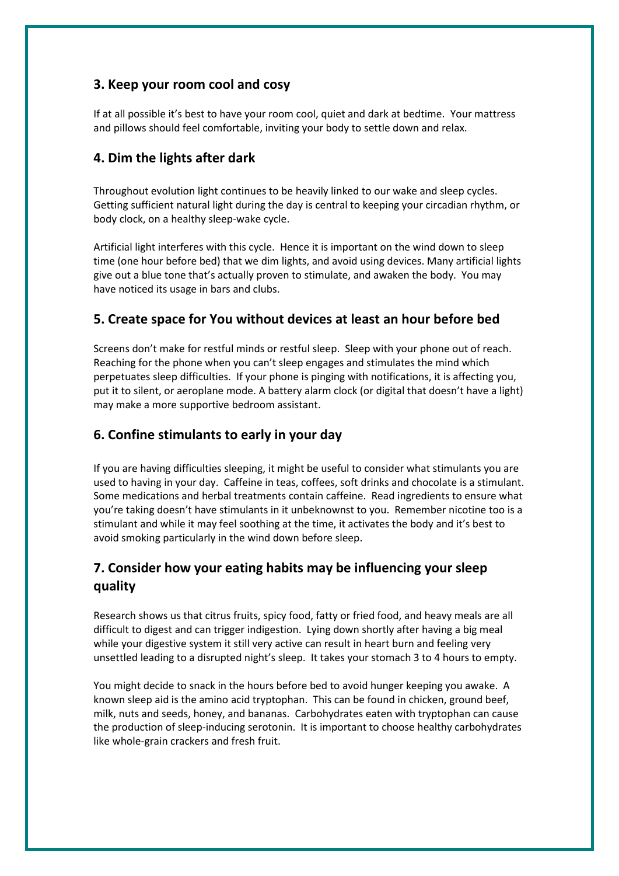# **3. Keep your room cool and cosy**

If at all possible it's best to have your room cool, quiet and dark at bedtime. Your mattress and pillows should feel comfortable, inviting your body to settle down and relax.

# **4. Dim the lights after dark**

Throughout evolution light continues to be heavily linked to our wake and sleep cycles. Getting sufficient natural light during the day is central to keeping your circadian rhythm, or body clock, on a healthy sleep-wake cycle.

Artificial light interferes with this cycle. Hence it is important on the wind down to sleep time (one hour before bed) that we dim lights, and avoid using devices. Many artificial lights give out a blue tone that's actually proven to stimulate, and awaken the body. You may have noticed its usage in bars and clubs.

# **5. Create space for You without devices at least an hour before bed**

Screens don't make for restful minds or restful sleep. Sleep with your phone out of reach. Reaching for the phone when you can't sleep engages and stimulates the mind which perpetuates sleep difficulties. If your phone is pinging with notifications, it is affecting you, put it to silent, or aeroplane mode. A battery alarm clock (or digital that doesn't have a light) may make a more supportive bedroom assistant.

### **6. Confine stimulants to early in your day**

If you are having difficulties sleeping, it might be useful to consider what stimulants you are used to having in your day. Caffeine in teas, coffees, soft drinks and chocolate is a stimulant. Some medications and herbal treatments contain caffeine. Read ingredients to ensure what you're taking doesn't have stimulants in it unbeknownst to you. Remember nicotine too is a stimulant and while it may feel soothing at the time, it activates the body and it's best to avoid smoking particularly in the wind down before sleep.

# **7. Consider how your eating habits may be influencing your sleep quality**

Research shows us that citrus fruits, spicy food, fatty or fried food, and heavy meals are all difficult to digest and can trigger indigestion. Lying down shortly after having a big meal while your digestive system it still very active can result in heart burn and feeling very unsettled leading to a disrupted night's sleep. It takes your stomach 3 to 4 hours to empty.

You might decide to snack in the hours before bed to avoid hunger keeping you awake. A known sleep aid is the amino acid tryptophan. This can be found in chicken, ground beef, milk, nuts and seeds, honey, and bananas. Carbohydrates eaten with tryptophan can cause the production of sleep-inducing serotonin. It is important to choose healthy carbohydrates like whole-grain crackers and fresh fruit.